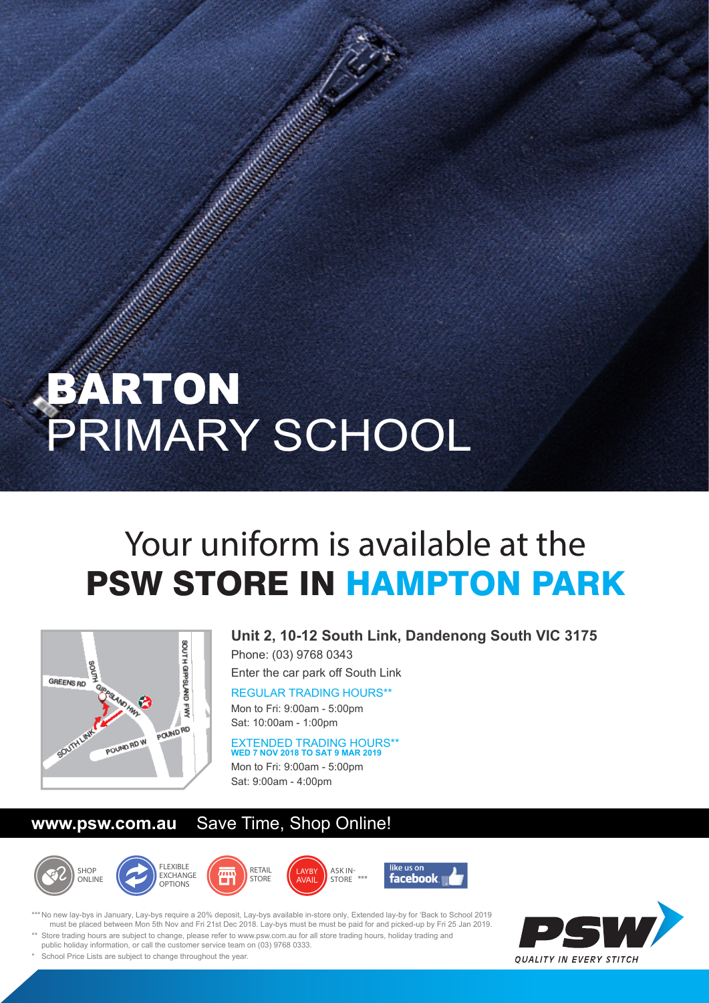## BARTON PRIMARY SCHOOL

## Your uniform is available at the PSW STORE IN HAMPTON PARK



**Unit 2, 10-12 South Link, Dandenong South VIC 3175**  Phone: (03) 9768 0343

Enter the car park off South Link

REGULAR TRADING HOURS\*\* Mon to Fri: 9:00am - 5:00pm Sat: 10:00am - 1:00pm

EXTENDED TRADING HOURS\*\* **WED 7 NOV 2018 TO SAT 9 MAR 2019** Mon to Fri: 9:00am - 5:00pm Sat: 9:00am - 4:00pm

## **www.psw.com.au** Save Time, Shop Online!











\*\*\* No new lay-bys in January, Lay-bys require a 20% deposit, Lay-bys available in-store only, Extended lay-by for 'Back to School 2019 must be placed between Mon 5th Nov and Fri 21st Dec 2018. Lay-bys must be must be paid for and picked-up by Fri 25 Jan 2019. Store trading hours are subject to change, please refer to www.psw.com.au for all store trading hours, holiday trading and



public holiday information, or call the customer service team on (03) 9768 0333. School Price Lists are subject to change throughout the year.